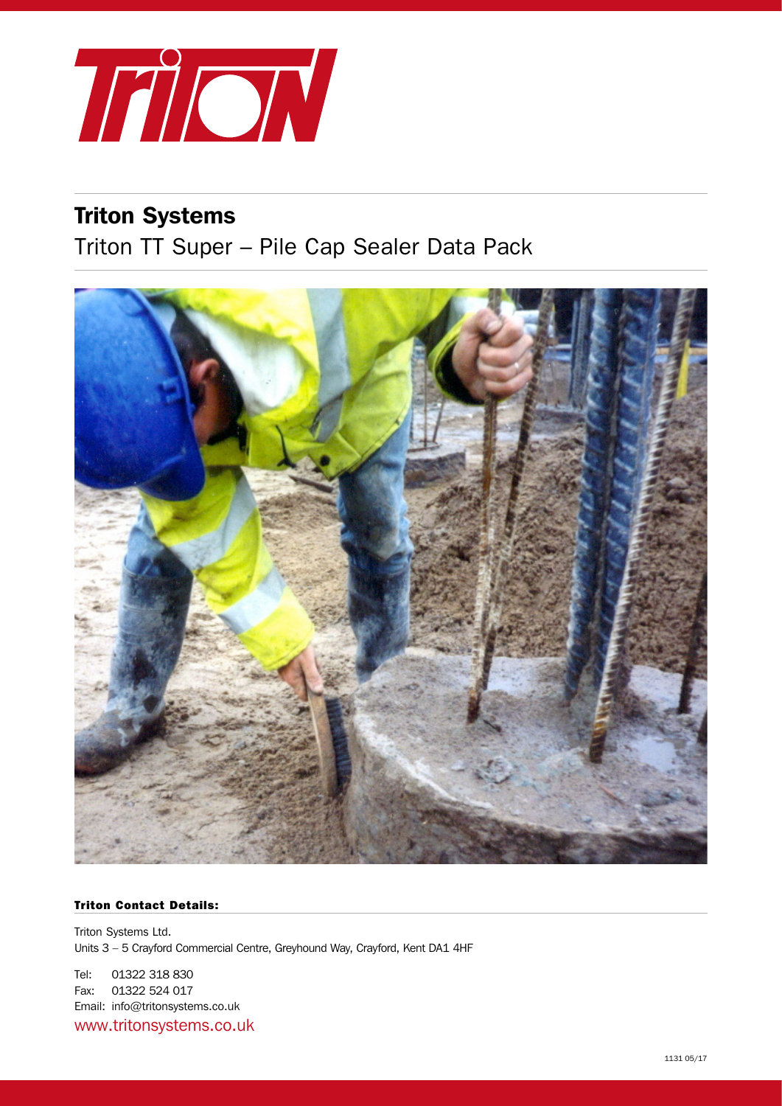

# Triton Systems

Triton TT Super – Pile Cap Sealer Data Pack



### Triton Contact Details:

Triton Systems Ltd. Units 3 – 5 Crayford Commercial Centre, Greyhound Way, Crayford, Kent DA1 4HF

Tel: 01322 318 830 Fax: 01322 524 017 Email: info@tritonsystems.co.uk www.tritonsystems.co.uk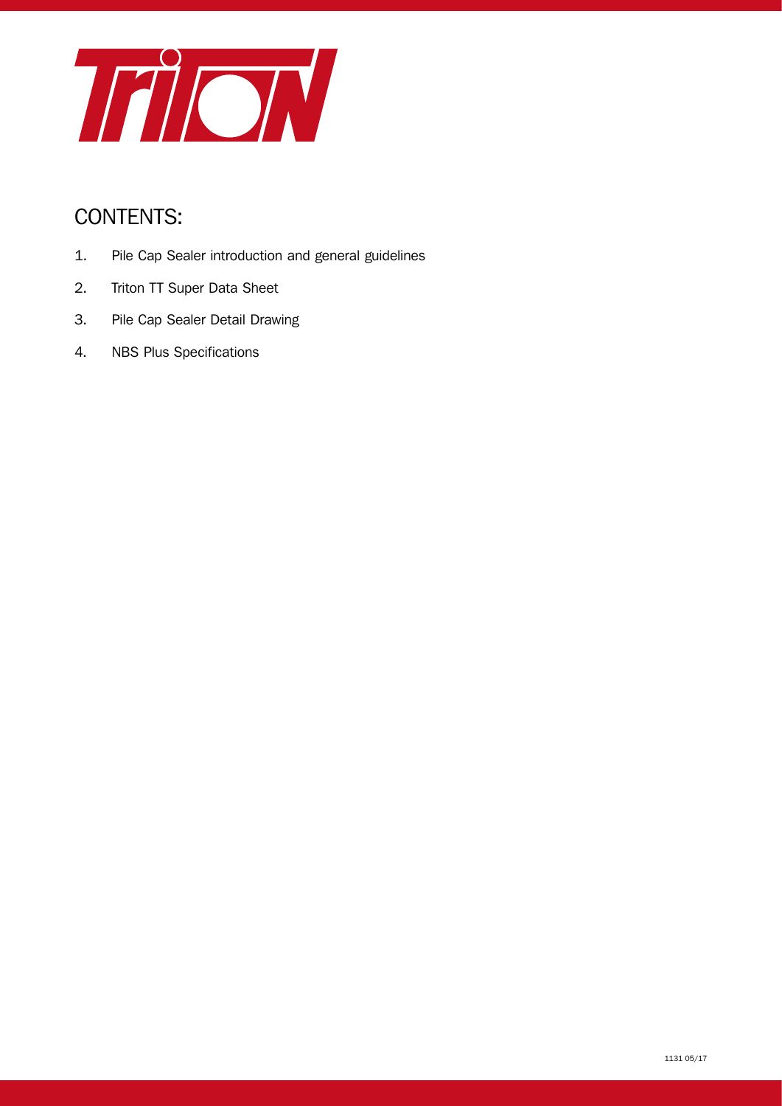

# CONTENTS:

- 1. Pile Cap Sealer introduction and general guidelines
- 2. Triton TT Super Data Sheet
- 3. Pile Cap Sealer Detail Drawing
- 4. NBS Plus Specifications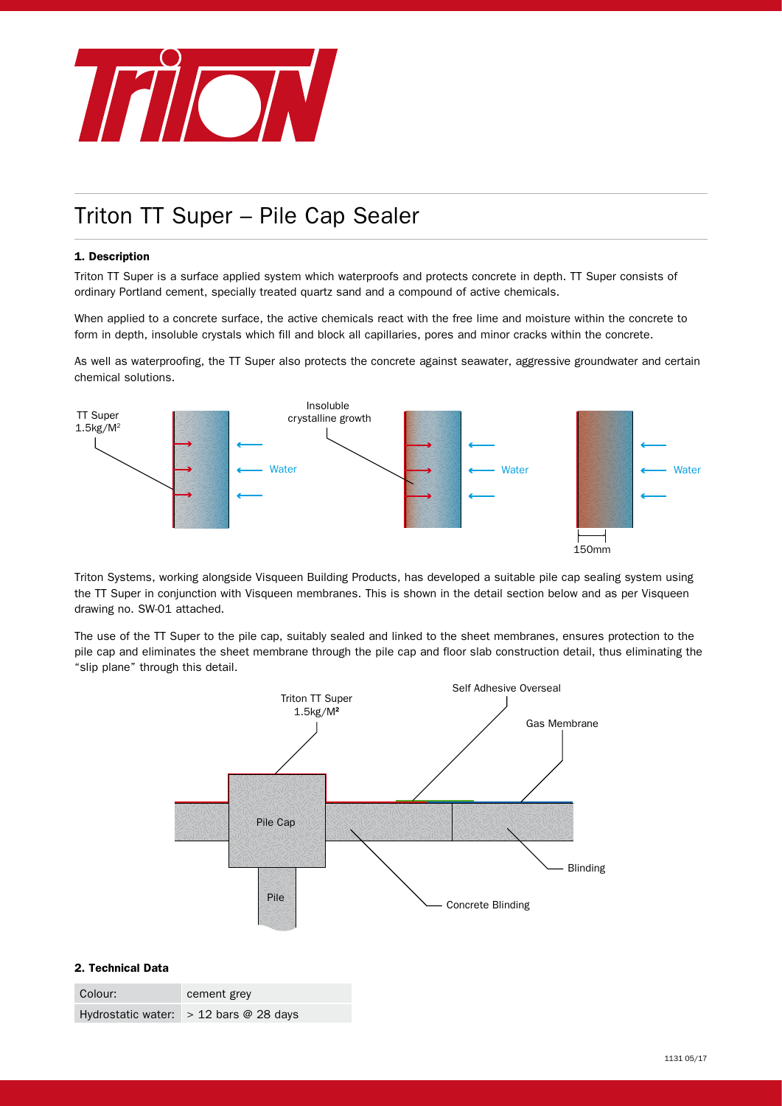

# Triton TT Super – Pile Cap Sealer

#### 1. Description

Triton TT Super is a surface applied system which waterproofs and protects concrete in depth. TT Super consists of ordinary Portland cement, specially treated quartz sand and a compound of active chemicals.

When applied to a concrete surface, the active chemicals react with the free lime and moisture within the concrete to form in depth, insoluble crystals which fill and block all capillaries, pores and minor cracks within the concrete.

As well as waterproofing, the TT Super also protects the concrete against seawater, aggressive groundwater and certain chemical solutions.



Triton Systems, working alongside Visqueen Building Products, has developed a suitable pile cap sealing system using the TT Super in conjunction with Visqueen membranes. This is shown in the detail section below and as per Visqueen drawing no. SW-01 attached.

The use of the TT Super to the pile cap, suitably sealed and linked to the sheet membranes, ensures protection to the pile cap and eliminates the sheet membrane through the pile cap and floor slab construction detail, thus eliminating the "slip plane" through this detail.



#### 2. Technical Data

| Colour: | cement grey                              |
|---------|------------------------------------------|
|         | Hydrostatic water: $> 12$ bars @ 28 days |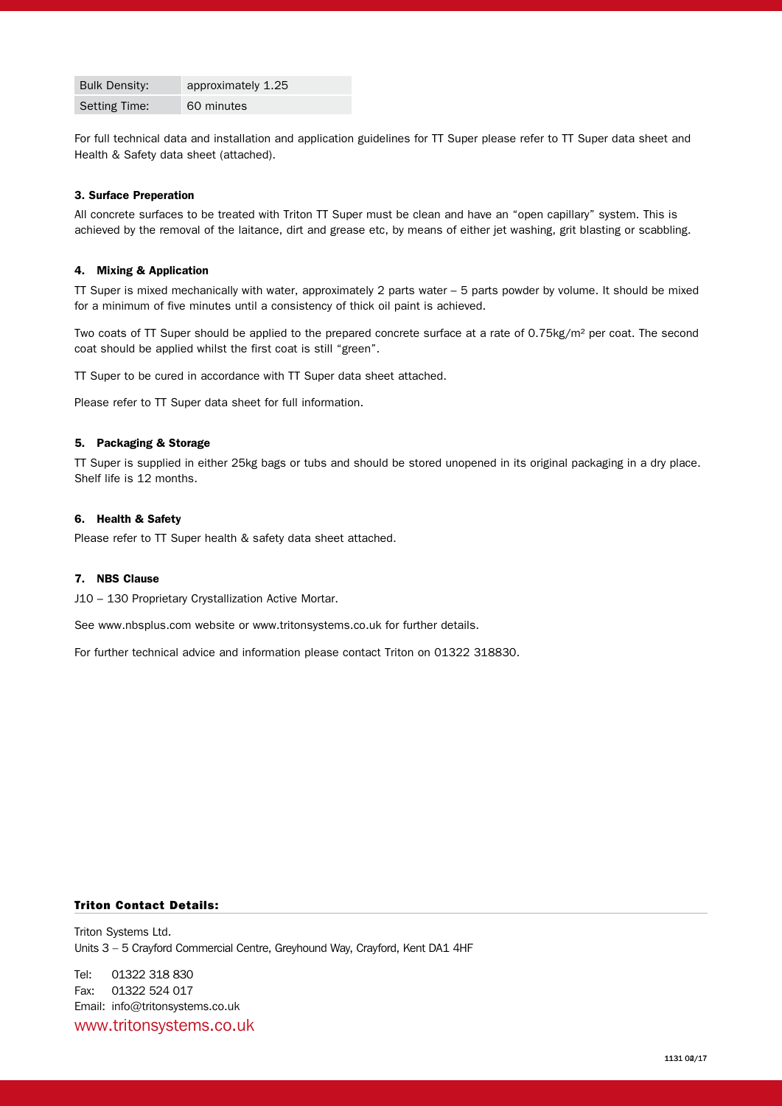| <b>Bulk Density:</b> | approximately 1.25 |
|----------------------|--------------------|
| Setting Time:        | 60 minutes         |

For full technical data and installation and application guidelines for TT Super please refer to TT Super data sheet and Health & Safety data sheet (attached).

#### 3. Surface Preperation

All concrete surfaces to be treated with Triton TT Super must be clean and have an "open capillary" system. This is achieved by the removal of the laitance, dirt and grease etc, by means of either jet washing, grit blasting or scabbling.

#### 4. Mixing & Application

TT Super is mixed mechanically with water, approximately 2 parts water – 5 parts powder by volume. It should be mixed for a minimum of five minutes until a consistency of thick oil paint is achieved.

Two coats of TT Super should be applied to the prepared concrete surface at a rate of 0.75kg/m² per coat. The second coat should be applied whilst the first coat is still "green".

TT Super to be cured in accordance with TT Super data sheet attached.

Please refer to TT Super data sheet for full information.

#### 5. Packaging & Storage

TT Super is supplied in either 25kg bags or tubs and should be stored unopened in its original packaging in a dry place. Shelf life is 12 months.

#### 6. Health & Safety

Please refer to TT Super health & safety data sheet attached.

#### 7. NBS Clause

J10 – 130 Proprietary Crystallization Active Mortar.

See www.nbsplus.com website or www.tritonsystems.co.uk for further details.

For further technical advice and information please contact Triton on 01322 318830.

Triton Contact Details:<br>Triton Systems Ltd.<br>Units 3 – 5 Crayford Commercial Centre, Greyhound Way, Crayford, Kent DA1 4HF<br>Tel: 01322 318 830<br>Fax: 01322 524 017<br>Email: info@tritonsystems.co.uk<br>WWW.tritONSyStems.co.uk Triton Systems Ltd. Units 3 – 5 Crayford Commercial Centre, Greyhound Way, Crayford, Kent DA1 4HF

Tel: 01322 318 830 Fax: 01322 524 017 Email: info@tritonsystems.co.uk www.tritonsystems.co.uk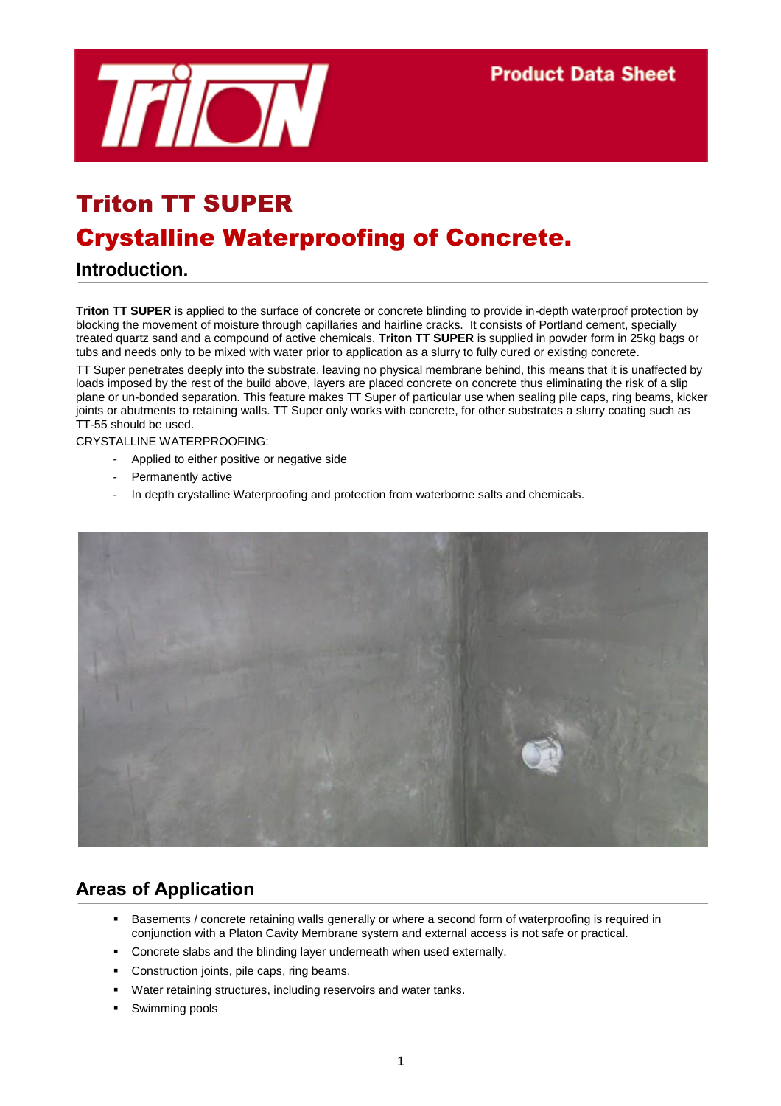

# Triton TT SUPER Crystalline Waterproofing of Concrete.

# **Introduction.**

**Triton TT SUPER** is applied to the surface of concrete or concrete blinding to provide in-depth waterproof protection by blocking the movement of moisture through capillaries and hairline cracks. It consists of Portland cement, specially treated quartz sand and a compound of active chemicals. **Triton TT SUPER** is supplied in powder form in 25kg bags or tubs and needs only to be mixed with water prior to application as a slurry to fully cured or existing concrete.

TT Super penetrates deeply into the substrate, leaving no physical membrane behind, this means that it is unaffected by loads imposed by the rest of the build above, layers are placed concrete on concrete thus eliminating the risk of a slip plane or un-bonded separation. This feature makes TT Super of particular use when sealing pile caps, ring beams, kicker joints or abutments to retaining walls. TT Super only works with concrete, for other substrates a slurry coating such as TT-55 should be used.

CRYSTALLINE WATERPROOFING:

- Applied to either positive or negative side
- Permanently active
- In depth crystalline Waterproofing and protection from waterborne salts and chemicals.



# **Areas of Application**

- Basements / concrete retaining walls generally or where a second form of waterproofing is required in conjunction with a Platon Cavity Membrane system and external access is not safe or practical.
- **Concrete slabs and the blinding layer underneath when used externally.**
- **Construction joints, pile caps, ring beams.**
- Water retaining structures, including reservoirs and water tanks.
- Swimming pools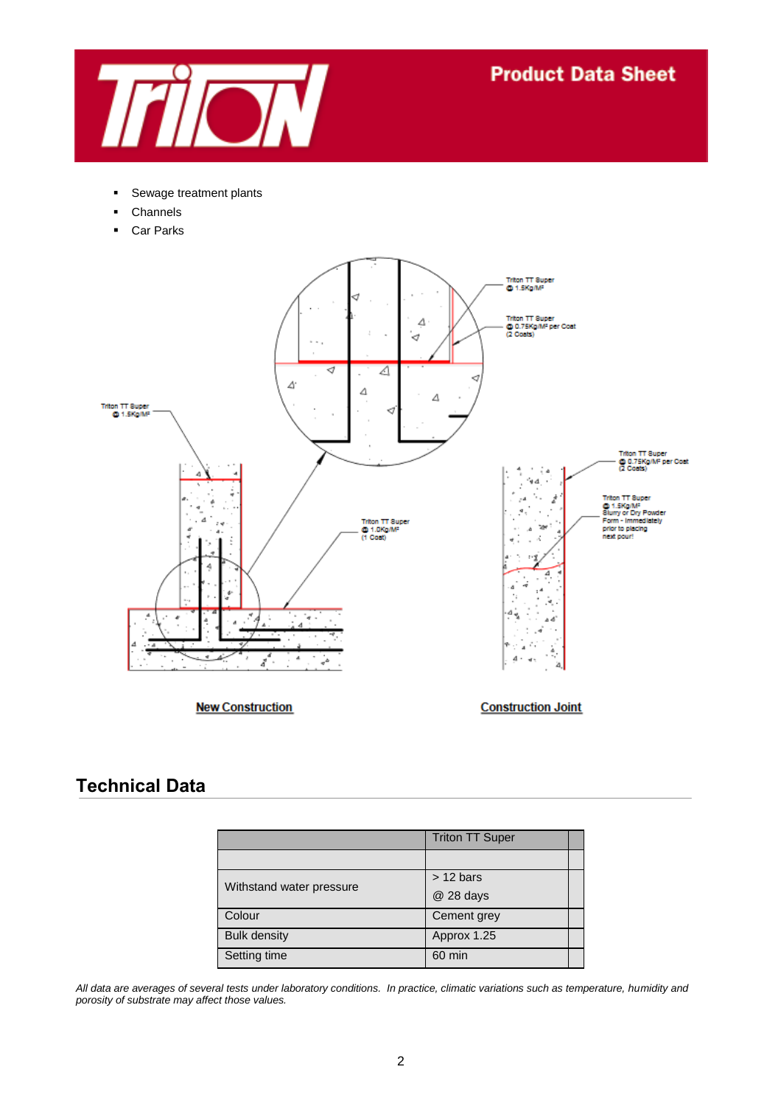

- **Sewage treatment plants**
- Channels
- **Car Parks**



**New Construction** 

**Construction Joint** 

# **Technical Data**

|                          | <b>Triton TT Super</b> |  |
|--------------------------|------------------------|--|
|                          |                        |  |
|                          | $> 12 \text{ bars}$    |  |
| Withstand water pressure | @ 28 days              |  |
| Colour                   | Cement grey            |  |
| <b>Bulk density</b>      | Approx 1.25            |  |
| Setting time             | 60 min                 |  |

*All data are averages of several tests under laboratory conditions. In practice, climatic variations such as temperature, humidity and porosity of substrate may affect those values.*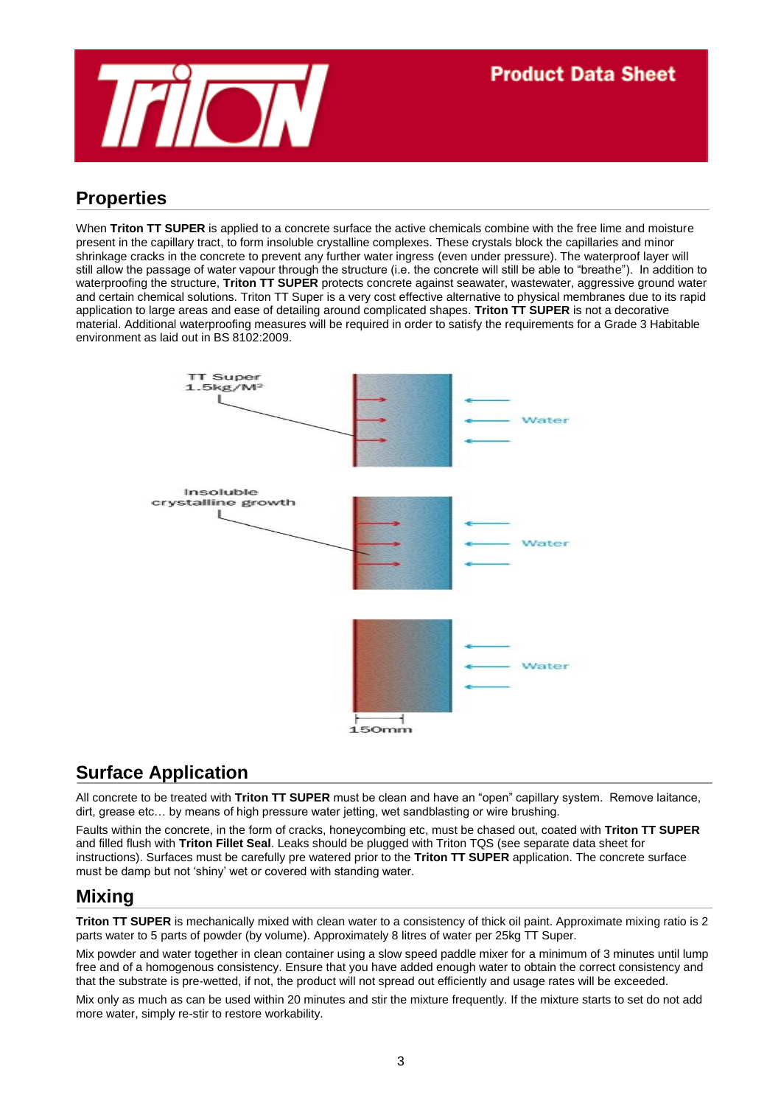

# **Properties**

When **Triton TT SUPER** is applied to a concrete surface the active chemicals combine with the free lime and moisture present in the capillary tract, to form insoluble crystalline complexes. These crystals block the capillaries and minor shrinkage cracks in the concrete to prevent any further water ingress (even under pressure). The waterproof layer will still allow the passage of water vapour through the structure (i.e. the concrete will still be able to "breathe"). In addition to waterproofing the structure, **Triton TT SUPER** protects concrete against seawater, wastewater, aggressive ground water and certain chemical solutions. Triton TT Super is a very cost effective alternative to physical membranes due to its rapid application to large areas and ease of detailing around complicated shapes. **Triton TT SUPER** is not a decorative material. Additional waterproofing measures will be required in order to satisfy the requirements for a Grade 3 Habitable environment as laid out in BS 8102:2009.



# **Surface Application**

All concrete to be treated with **Triton TT SUPER** must be clean and have an "open" capillary system. Remove laitance, dirt, grease etc… by means of high pressure water jetting, wet sandblasting or wire brushing.

Faults within the concrete, in the form of cracks, honeycombing etc, must be chased out, coated with **Triton TT SUPER** and filled flush with **Triton Fillet Seal**. Leaks should be plugged with Triton TQS (see separate data sheet for instructions). Surfaces must be carefully pre watered prior to the **Triton TT SUPER** application. The concrete surface must be damp but not 'shiny' wet or covered with standing water.

# **Mixing**

**Triton TT SUPER** is mechanically mixed with clean water to a consistency of thick oil paint. Approximate mixing ratio is 2 parts water to 5 parts of powder (by volume). Approximately 8 litres of water per 25kg TT Super.

Mix powder and water together in clean container using a slow speed paddle mixer for a minimum of 3 minutes until lump free and of a homogenous consistency. Ensure that you have added enough water to obtain the correct consistency and that the substrate is pre-wetted, if not, the product will not spread out efficiently and usage rates will be exceeded.

Mix only as much as can be used within 20 minutes and stir the mixture frequently. If the mixture starts to set do not add more water, simply re-stir to restore workability.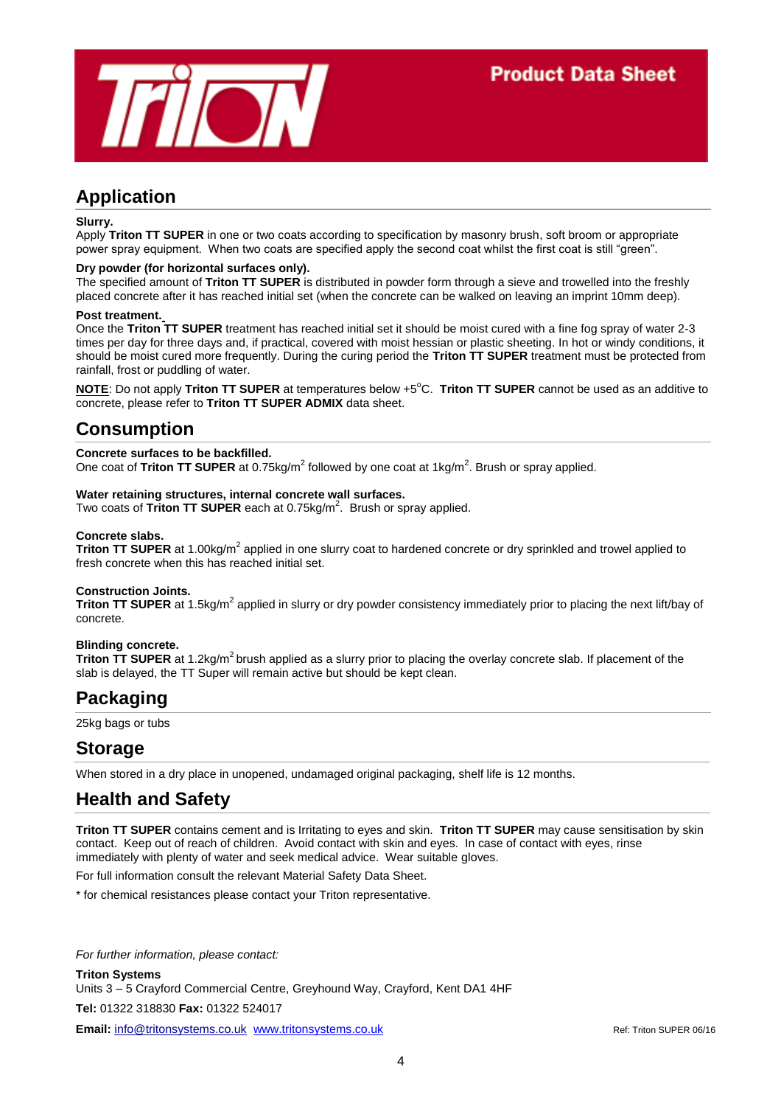

# **Application**

#### **Slurry.**

Apply **Triton TT SUPER** in one or two coats according to specification by masonry brush, soft broom or appropriate power spray equipment. When two coats are specified apply the second coat whilst the first coat is still "green".

#### **Dry powder (for horizontal surfaces only).**

The specified amount of **Triton TT SUPER** is distributed in powder form through a sieve and trowelled into the freshly placed concrete after it has reached initial set (when the concrete can be walked on leaving an imprint 10mm deep).

#### **Post treatment.**

Once the **Triton TT SUPER** treatment has reached initial set it should be moist cured with a fine fog spray of water 2-3 times per day for three days and, if practical, covered with moist hessian or plastic sheeting. In hot or windy conditions, it should be moist cured more frequently. During the curing period the **Triton TT SUPER** treatment must be protected from rainfall, frost or puddling of water.

**NOTE:** Do not apply **Triton TT SUPER** at temperatures below +5<sup>o</sup>C. **Triton TT SUPER** cannot be used as an additive to concrete, please refer to **Triton TT SUPER ADMIX** data sheet.

# **Consumption**

#### **Concrete surfaces to be backfilled.**

One coat of Triton TT SUPER at 0.75kg/m<sup>2</sup> followed by one coat at 1kg/m<sup>2</sup>. Brush or spray applied.

#### **Water retaining structures, internal concrete wall surfaces.**

Two coats of Triton TT SUPER each at 0.75kg/m<sup>2</sup>. Brush or spray applied.

#### **Concrete slabs.**

Triton TT SUPER at 1.00kg/m<sup>2</sup> applied in one slurry coat to hardened concrete or dry sprinkled and trowel applied to fresh concrete when this has reached initial set.

#### **Construction Joints.**

Triton TT SUPER at 1.5kg/m<sup>2</sup> applied in slurry or dry powder consistency immediately prior to placing the next lift/bay of concrete.

### **Blinding concrete.**

**Triton TT SUPER** at 1.2kg/m<sup>2</sup> brush applied as a slurry prior to placing the overlay concrete slab. If placement of the slab is delayed, the TT Super will remain active but should be kept clean.

# **Packaging**

25kg bags or tubs

# **Storage**

When stored in a dry place in unopened, undamaged original packaging, shelf life is 12 months.

# **Health and Safety**

**Triton TT SUPER** contains cement and is Irritating to eyes and skin. **Triton TT SUPER** may cause sensitisation by skin contact. Keep out of reach of children. Avoid contact with skin and eyes. In case of contact with eyes, rinse immediately with plenty of water and seek medical advice. Wear suitable gloves.

For full information consult the relevant Material Safety Data Sheet.

\* for chemical resistances please contact your Triton representative.

*For further information, please contact:*

**Triton Systems**

Units 3 – 5 Crayford Commercial Centre, Greyhound Way, Crayford, Kent DA1 4HF

**Tel:** 01322 318830 **Fax:** 01322 524017

**Email:** info@tritonsystems.co.uk [www.tritonsystems.co.uk](http://www.tritonsystems.co.uk/) Ref: Triton SUPER 06/16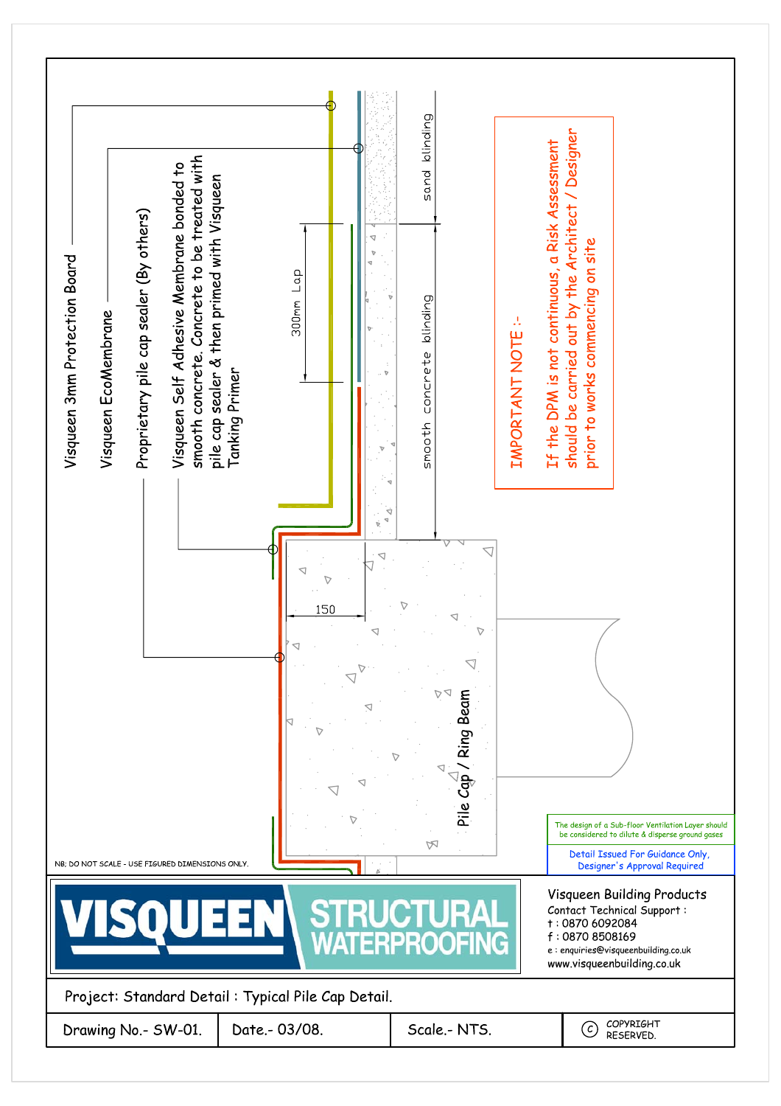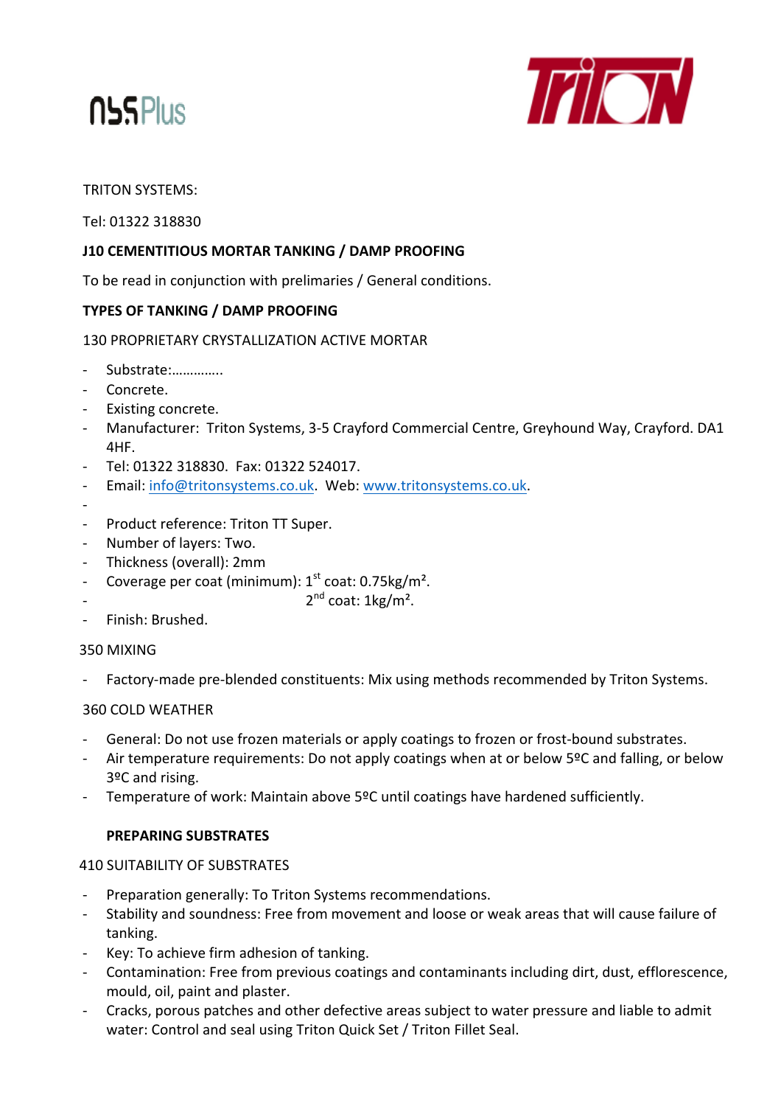



# **TRITON SYSTEMS:**

Tel: 01322 318830

# J10 CEMENTITIOUS MORTAR TANKING / DAMP PROOFING

To be read in conjunction with prelimaries / General conditions.

# **TYPES OF TANKING / DAMP PROOFING**

130 PROPRIFTARY CRYSTALLIZATION ACTIVE MORTAR

- Substrate:..............
- Concrete.
- Existing concrete.
- Manufacturer: Triton Systems, 3-5 Crayford Commercial Centre, Greyhound Way, Crayford. DA1 4HF.
- Tel: 01322 318830. Fax: 01322 524017.
- Email: info@tritonsystems.co.uk. Web: www.tritonsystems.co.uk.
- 
- Product reference: Triton TT Super.
- Number of layers: Two.
- Thickness (overall): 2mm
- Coverage per coat (minimum): 1<sup>st</sup> coat: 0.75kg/m<sup>2</sup>.
- 
- $2^{nd}$  coat: 1kg/m<sup>2</sup>.
- Finish: Brushed.

## 350 MIXING

Factory-made pre-blended constituents: Mix using methods recommended by Triton Systems.

## **360 COLD WEATHER**

- General: Do not use frozen materials or apply coatings to frozen or frost-bound substrates.
- Air temperature requirements: Do not apply coatings when at or below 5ºC and falling, or below 3ºC and rising.
- Temperature of work: Maintain above 5ºC until coatings have hardened sufficiently.

## **PREPARING SUBSTRATES**

## **410 SUITABILITY OF SUBSTRATES**

- Preparation generally: To Triton Systems recommendations.
- Stability and soundness: Free from movement and loose or weak areas that will cause failure of tanking.
- Key: To achieve firm adhesion of tanking.
- Contamination: Free from previous coatings and contaminants including dirt, dust, efflorescence, mould, oil, paint and plaster.
- Cracks, porous patches and other defective areas subject to water pressure and liable to admit water: Control and seal using Triton Quick Set / Triton Fillet Seal.